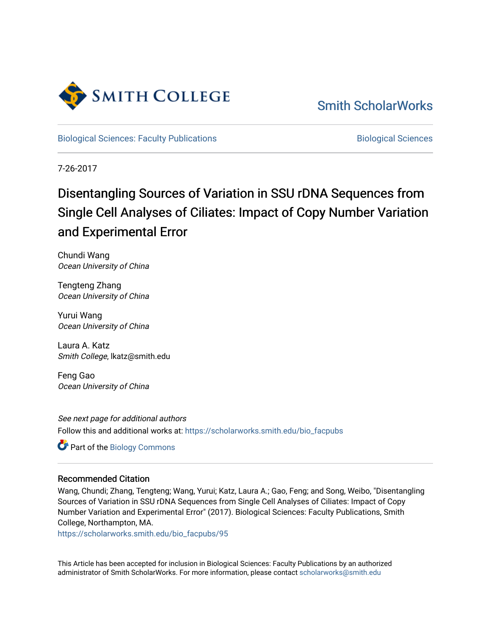

[Smith ScholarWorks](https://scholarworks.smith.edu/) 

[Biological Sciences: Faculty Publications](https://scholarworks.smith.edu/bio_facpubs) **Biological Sciences** Biological Sciences

7-26-2017

# Disentangling Sources of Variation in SSU rDNA Sequences from Single Cell Analyses of Ciliates: Impact of Copy Number Variation and Experimental Error

Chundi Wang Ocean University of China

Tengteng Zhang Ocean University of China

Yurui Wang Ocean University of China

Laura A. Katz Smith College, lkatz@smith.edu

Feng Gao Ocean University of China

See next page for additional authors Follow this and additional works at: [https://scholarworks.smith.edu/bio\\_facpubs](https://scholarworks.smith.edu/bio_facpubs?utm_source=scholarworks.smith.edu%2Fbio_facpubs%2F95&utm_medium=PDF&utm_campaign=PDFCoverPages)

Part of the [Biology Commons](http://network.bepress.com/hgg/discipline/41?utm_source=scholarworks.smith.edu%2Fbio_facpubs%2F95&utm_medium=PDF&utm_campaign=PDFCoverPages) 

#### Recommended Citation

Wang, Chundi; Zhang, Tengteng; Wang, Yurui; Katz, Laura A.; Gao, Feng; and Song, Weibo, "Disentangling Sources of Variation in SSU rDNA Sequences from Single Cell Analyses of Ciliates: Impact of Copy Number Variation and Experimental Error" (2017). Biological Sciences: Faculty Publications, Smith College, Northampton, MA.

[https://scholarworks.smith.edu/bio\\_facpubs/95](https://scholarworks.smith.edu/bio_facpubs/95?utm_source=scholarworks.smith.edu%2Fbio_facpubs%2F95&utm_medium=PDF&utm_campaign=PDFCoverPages) 

This Article has been accepted for inclusion in Biological Sciences: Faculty Publications by an authorized administrator of Smith ScholarWorks. For more information, please contact [scholarworks@smith.edu](mailto:scholarworks@smith.edu)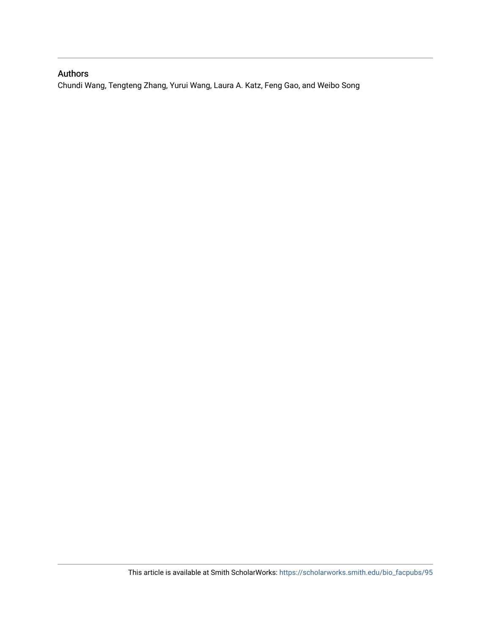### Authors

Chundi Wang, Tengteng Zhang, Yurui Wang, Laura A. Katz, Feng Gao, and Weibo Song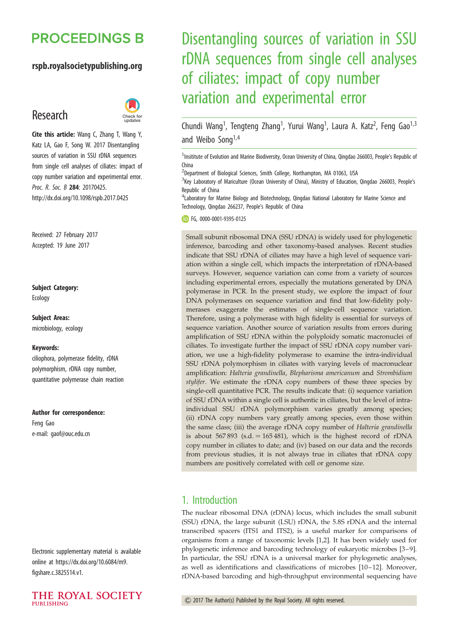## **PROCEEDINGS B**

#### rspb.royalsocietypublishing.org

## Research



Cite this article: Wang C, Zhang T, Wang Y, Katz LA, Gao F, Song W. 2017 Disentangling sources of variation in SSU rDNA sequences from single cell analyses of ciliates: impact of copy number variation and experimental error. Proc. R. Soc. B 284: 20170425. http://dx.doi.org/10.1098/rspb.2017.0425

Received: 27 February 2017 Accepted: 19 June 2017

## Subject Category:

Ecology

Subject Areas: microbiology, ecology

#### Keywords:

ciliophora, polymerase fidelity, rDNA polymorphism, rDNA copy number, quantitative polymerase chain reaction

#### Author for correspondence:

Feng Gao e-mail: [gaof@ouc.edu.cn](mailto:gaof@ouc.edu.cn)

Electronic supplementary material is available online at [https://dx.doi.org/10.6084/m9.](https://dx.doi.org/10.6084/m9.figshare.c.3825514.v1) [figshare.c.3825514.v1.](https://dx.doi.org/10.6084/m9.figshare.c.3825514.v1)

THE ROYAL SOCIETY **PUBLISHING** 

# Disentangling sources of variation in SSU rDNA sequences from single cell analyses of ciliates: impact of copy number variation and experimental error

Chundi Wang<sup>1</sup>, Tengteng Zhang<sup>1</sup>, Yurui Wang<sup>1</sup>, Laura A. Katz<sup>2</sup>, Feng Gao<sup>1,3</sup> and Weibo Song<sup>1,4</sup>

<sup>1</sup> Insititute of Evolution and Marine Biodiversity, Ocean University of China, Qingdao 266003, People's Republic of China

<sup>2</sup>Department of Biological Sciences, Smith College, Northampton, MA 01063, USA

<sup>3</sup> Key Laboratory of Mariculture (Ocean University of China), Ministry of Education, Qingdao 266003, People's Republic of China

<sup>4</sup>Laboratory for Marine Biology and Biotechnology, Qingdao National Laboratory for Marine Science and Technology, Qingdao 266237, People's Republic of China

FG, [0000-0001-9395-0125](http://orcid.org/0000-0001-9395-0125)

Small subunit ribosomal DNA (SSU rDNA) is widely used for phylogenetic inference, barcoding and other taxonomy-based analyses. Recent studies indicate that SSU rDNA of ciliates may have a high level of sequence variation within a single cell, which impacts the interpretation of rDNA-based surveys. However, sequence variation can come from a variety of sources including experimental errors, especially the mutations generated by DNA polymerase in PCR. In the present study, we explore the impact of four DNA polymerases on sequence variation and find that low-fidelity polymerases exaggerate the estimates of single-cell sequence variation. Therefore, using a polymerase with high fidelity is essential for surveys of sequence variation. Another source of variation results from errors during amplification of SSU rDNA within the polyploidy somatic macronuclei of ciliates. To investigate further the impact of SSU rDNA copy number variation, we use a high-fidelity polymerase to examine the intra-individual SSU rDNA polymorphism in ciliates with varying levels of macronuclear amplification: Halteria grandinella, Blepharisma americanum and Strombidium stylifer. We estimate the rDNA copy numbers of these three species by single-cell quantitative PCR. The results indicate that: (i) sequence variation of SSU rDNA within a single cell is authentic in ciliates, but the level of intraindividual SSU rDNA polymorphism varies greatly among species; (ii) rDNA copy numbers vary greatly among species, even those within the same class; (iii) the average rDNA copy number of Halteria grandinella is about  $567893$  (s.d.  $= 165481$ ), which is the highest record of rDNA copy number in ciliates to date; and (iv) based on our data and the records from previous studies, it is not always true in ciliates that rDNA copy numbers are positively correlated with cell or genome size.

## 1. Introduction

The nuclear ribosomal DNA (rDNA) locus, which includes the small subunit (SSU) rDNA, the large subunit (LSU) rDNA, the 5.8S rDNA and the internal transcribed spacers (ITS1 and ITS2), is a useful marker for comparisons of organisms from a range of taxonomic levels [[1,2\]](#page-9-0). It has been widely used for phylogenetic inference and barcoding technology of eukaryotic microbes [[3](#page-9-0)–[9\]](#page-10-0). In particular, the SSU rDNA is a universal marker for phylogenetic analyses, as well as identifications and classifications of microbes [[10](#page-10-0)–[12](#page-10-0)]. Moreover, rDNA-based barcoding and high-throughput environmental sequencing have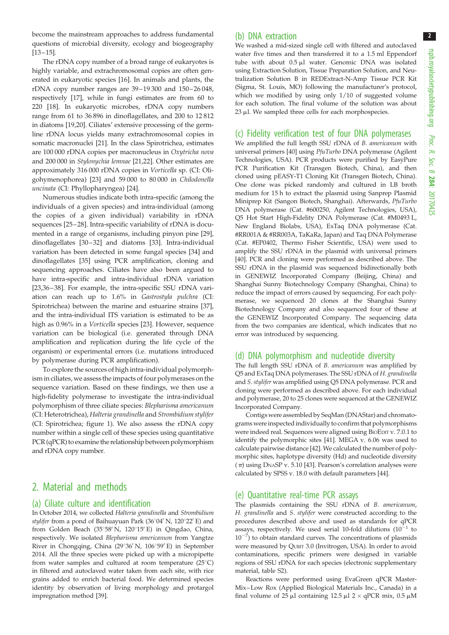2

become the mainstream approaches to address fundamental questions of microbial diversity, ecology and biogeography  $[13 - 15]$  $[13 - 15]$  $[13 - 15]$ .

The rDNA copy number of a broad range of eukaryotes is highly variable, and extrachromosomal copies are often generated in eukaryotic species [[16\]](#page-10-0). In animals and plants, the rDNA copy number ranges are  $39-19300$  and  $150-26048$ , respectively [[17\]](#page-10-0), while in fungi estimates are from 60 to 220 [\[18](#page-10-0)]. In eukaryotic microbes, rDNA copy numbers range from 61 to 36 896 in dinoflagellates, and 200 to 12 812 in diatoms [[19,20](#page-10-0)]. Ciliates' extensive processing of the germline rDNA locus yields many extrachromosomal copies in somatic macronuclei [[21\]](#page-10-0). In the class Spirotrichea, estimates are 100 000 rDNA copies per macronucleus in Oxytricha nova and 200 000 in Stylonychia lemnae [[21,22](#page-10-0)]. Other estimates are approximately 316 000 rDNA copies in Vorticella sp. (CI: Oligohymenophorea) [\[23](#page-10-0)] and 59 000 to 80 000 in Chilodonella uncinata (CI: Phyllopharyngea) [\[24](#page-10-0)].

Numerous studies indicate both intra-specific (among the individuals of a given species) and intra-individual (among the copies of a given individual) variability in rDNA sequences [\[25](#page-10-0) –[28\]](#page-10-0). Intra-specific variability of rDNA is documented in a range of organisms, including pinyon pine [\[29](#page-10-0)], dinoflagellates [\[30](#page-10-0)–[32](#page-10-0)] and diatoms [\[33](#page-10-0)]. Intra-individual variation has been detected in some fungal species [\[34](#page-10-0)] and dinoflagellates [[35\]](#page-10-0) using PCR amplification, cloning and sequencing approaches. Ciliates have also been argued to have intra-specific and intra-individual rDNA variation [\[23](#page-10-0),[36](#page-10-0) –[38\]](#page-10-0). For example, the intra-specific SSU rDNA variation can reach up to 1.6% in Gastrostyla pulchra (CI: Spirotrichea) between the marine and estuarine strains [\[37](#page-10-0)], and the intra-individual ITS variation is estimated to be as high as 0.96% in a Vorticella species [\[23](#page-10-0)]. However, sequence variation can be biological (i.e. generated through DNA amplification and replication during the life cycle of the organism) or experimental errors (i.e. mutations introduced by polymerase during PCR amplification).

To explore the sources of high intra-individual polymorphism in ciliates, we assess the impacts of four polymerases on the sequence variation. Based on these findings, we then use a high-fidelity polymerase to investigate the intra-individual polymorphism of three ciliate species: Blepharisma americanum (CI: Heterotrichea), Halteria grandinella and Strombidium stylifer (CI: Spirotrichea; [figure 1](#page-4-0)). We also assess the rDNA copy number within a single cell of these species using quantitative PCR (qPCR) to examine the relationship between polymorphism and rDNA copy number.

## 2. Material and methods

#### (a) Ciliate culture and identification

In October 2014, we collected Halteria grandinella and Strombidium stylifer from a pond of Baihuayuan Park (36°04' N, 120°22' E) and from Golden Beach (35°58' N, 120°15' E) in Qingdao, China, respectively. We isolated Blepharisma americanum from Yangtze River in Chongqing, China (29°36' N, 106°59' E) in September 2014. All the three species were picked up with a micropipette from water samples and cultured at room temperature  $(25^{\circ}C)$ in filtered and autoclaved water taken from each site, with rice grains added to enrich bacterial food. We determined species identity by observation of living morphology and protargol impregnation method [[39](#page-10-0)].

#### (b) DNA extraction

We washed a mid-sized single cell with filtered and autoclaved water five times and then transferred it to a 1.5 ml Eppendorf tube with about  $0.5 \mu l$  water. Genomic DNA was isolated using Extraction Solution, Tissue Preparation Solution, and Neutralization Solution B in REDExtract-N-Amp Tissue PCR Kit (Sigma, St. Louis, MO) following the manufacturer's protocol, which we modified by using only 1/10 of suggested volume for each solution. The final volume of the solution was about  $23 \mu$ l. We sampled three cells for each morphospecies.

#### (c) Fidelity verification test of four DNA polymerases

We amplified the full length SSU rDNA of B. americanum with universal primers [[40](#page-10-0)] using PfuTurbo DNA polymerase (Agilent Technologies, USA). PCR products were purified by EasyPure PCR Purification Kit (Transgen Biotech, China), and then cloned using pEASY-T1 Cloning Kit (Transgen Biotech, China). One clone was picked randomly and cultured in LB broth medium for 15 h to extract the plasmid using Sanprep Plasmid Miniprep Kit (Sangon Biotech, Shanghai). Afterwards, PfuTurbo DNA polymerase (Cat. #600250, Agilent Technologies, USA), Q5 Hot Start High-Fidelity DNA Polymerase (Cat. #M0493 L, New England Biolabs, USA), ExTaq DNA polymerase (Cat. #RR001A & #RR003A, TaKaRa, Japan) and Taq DNA Polymerase (Cat. #EP0402, Thermo Fisher Scientific, USA) were used to amplify the SSU rDNA in the plasmid with universal primers [[40](#page-10-0)]. PCR and cloning were performed as described above. The SSU rDNA in the plasmid was sequenced bidirectionally both in GENEWIZ Incorporated Company (Beijing, China) and Shanghai Sunny Biotechnology Company (Shanghai, China) to reduce the impact of errors caused by sequencing. For each polymerase, we sequenced 20 clones at the Shanghai Sunny Biotechnology Company and also sequenced four of these at the GENEWIZ Incorporated Company. The sequencing data from the two companies are identical, which indicates that no error was introduced by sequencing.

#### (d) DNA polymorphism and nucleotide diversity

The full length SSU rDNA of B. americanum was amplified by Q5 and ExTaq DNA polymerases. The SSU rDNA of H. grandinella and S. stylifer was amplified using Q5 DNA polymerase. PCR and cloning were performed as described above. For each individual and polymerase, 20 to 25 clones were sequenced at the GENEWIZ Incorporated Company.

Contigs were assembled by SeqMan (DNAStar) and chromatograms were inspected individually to confirm that polymorphisms were indeed real. Sequences were aligned using BIOEDIT v. 7.0.1 to identify the polymorphic sites [[41](#page-10-0)]. MEGA v. 6.06 was used to calculate pairwise distance [[42](#page-10-0)]. We calculated the number of polymorphic sites, haplotype diversity (Hd) and nucleotide diversity  $(\pi)$  using DNASP v. 5.10 [[43](#page-10-0)]. Pearson's correlation analyses were calculated by SPSS v. 18.0 with default parameters [\[44\]](#page-10-0).

#### (e) Quantitative real-time PCR assays

The plasmids containing the SSU rDNA of B. americanum, H. grandinella and S. stylifer were constructed according to the procedures described above and used as standards for qPCR assays, respectively. We used serial 10-fold dilutions  $(10^{-1}$  to  $10^{-7}$ ) to obtain standard curves. The concentrations of plasmids were measured by QUBIT 3.0 (Invitrogen, USA). In order to avoid contaminations, specific primers were designed in variable regions of SSU rDNA for each species (electronic supplementary material, table S2).

Reactions were performed using EvaGreen qPCR Master-Mix–Low Rox (Applied Biological Materials Inc., Canada) in a final volume of 25  $\mu$ l containing 12.5  $\mu$ l 2 × qPCR mix, 0.5  $\mu$ M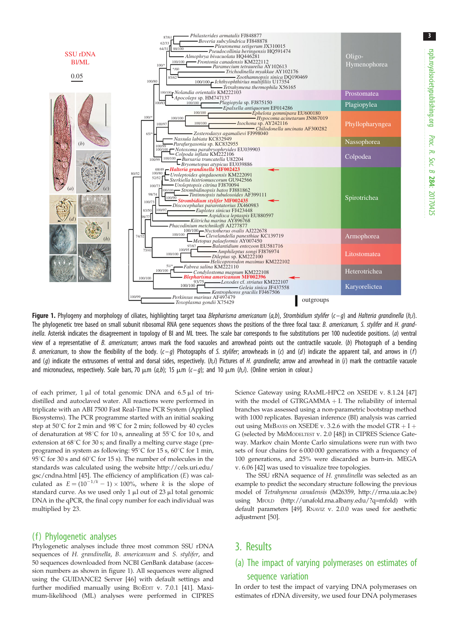3

<span id="page-4-0"></span>

Figure 1. Phylogeny and morphology of ciliates, highlighting target taxa Blepharisma americanum (a,b), Strombidium stylifer ( $c-q$ ) and Halteria grandinella (h,i). The phylogenetic tree based on small subunit ribosomal RNA gene sequences shows the positions of the three focal taxa: B. americanum, S. stylifer and H. grandinella. Asterisk indicates the disagreement in topology of BI and ML trees. The scale bar corresponds to five substitutions per 100 nucleotide positions. (a) ventral view of a representative of B. americanum; arrows mark the food vacuoles and arrowhead points out the contractile vacuole. (b) Photograph of a bending B. americanum, to show the flexibility of the body.  $(c-a)$  Photographs of S. stylifer; arrowheads in (c) and (d) indicate the apparent tail, and arrows in (f) and (q) indicate the extrusomes of ventral and dorsal sides, respectively. (h,i) Pictures of H. grandinella; arrow and arrowhead in (i) mark the contractile vacuole and micronucleus, respectively. Scale bars, 70  $\mu$ m (a,b); 15  $\mu$ m (c–q); and 10  $\mu$ m (h,i). (Online version in colour.)

of each primer,  $1 \mu l$  of total genomic DNA and 6.5  $\mu l$  of tridistilled and autoclaved water. All reactions were performed in triplicate with an ABI 7500 Fast Real-Time PCR System (Applied Biosystems). The PCR programme started with an initial soaking step at  $50^{\circ}$ C for 2 min and  $98^{\circ}$ C for 2 min; followed by 40 cycles of denaturation at 98 $^{\circ}$ C for 10 s, annealing at 55 $^{\circ}$ C for 10 s, and extension at  $68^{\circ}$ C for 30 s; and finally a melting curve stage (preprogramed in system as following:  $95^{\circ}$ C for  $15$  s,  $60^{\circ}$ C for 1 min, 95 $^{\circ}$ C for 30 s and 60 $^{\circ}$ C for 15 s). The number of molecules in the standards was calculated using the website [http://cels.uri.edu/](http://cels.uri.edu/gsc/cndna.html) [gsc/cndna.html](http://cels.uri.edu/gsc/cndna.html) [\[45\]](#page-10-0). The efficiency of amplification (E) was calculated as  $E = (10^{-1/k} - 1) \times 100\%$ , where k is the slope of standard curve. As we used only 1  $\mu$ l out of 23  $\mu$ l total genomic DNA in the qPCR, the final copy number for each individual was multiplied by 23.

#### (f) Phylogenetic analyses

Phylogenetic analyses include three most common SSU rDNA sequences of H. grandinella, B. americanum and S. stylifer, and 50 sequences downloaded from NCBI GenBank database (accession numbers as shown in figure 1). All sequences were aligned using the GUIDANCE2 Server [\[46\]](#page-10-0) with default settings and further modified manually using BIOEDIT v. 7.0.1 [[41](#page-10-0)]. Maximum-likelihood (ML) analyses were performed in CIPRES Science Gateway using RAxML-HPC2 on XSEDE v. 8.1.24 [\[47\]](#page-11-0) with the model of  $GTRGAMMA + I$ . The reliability of internal branches was assessed using a non-parametric bootstrap method with 1000 replicates. Bayesian inference (BI) analysis was carried out using MRBAYES on XSEDE v. 3.2.6 with the model GTR  $+$  I + G (selected by MRMODELTEST v. 2.0 [\[48\]](#page-11-0)) in CIPRES Science Gateway. Markov chain Monte Carlo simulations were run with two sets of four chains for 6 000 000 generations with a frequency of 100 generations, and 25% were discarded as burn-in. MEGA v. 6.06 [[42](#page-10-0)] was used to visualize tree topologies.

The SSU rRNA sequence of H. grandinella was selected as an example to predict the secondary structure following the previous model of Tetrahymena canadensis (M26359, [http://rrna.uia.ac.be\)](http://rrna.uia.ac.be) using MFOLD ([http://unafold.rna.albany.edu/?q=mfold\)](http://unafold.rna.albany.edu/?q=mfold) with default parameters [\[49](#page-11-0)]. RNAVIZ v. 2.0.0 was used for aesthetic adjustment [\[50](#page-11-0)].

## 3. Results

## (a) The impact of varying polymerases on estimates of sequence variation

In order to test the impact of varying DNA polymerases on estimates of rDNA diversity, we used four DNA polymerases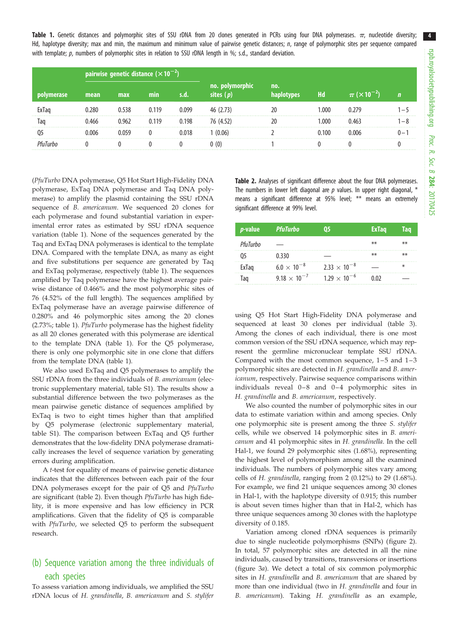<span id="page-5-0"></span>Table 1. Genetic distances and polymorphic sites of SSU rDNA from 20 clones generated in PCRs using four DNA polymerases.  $\pi$ , nucleotide diversity; Hd, haplotype diversity; max and min, the maximum and minimum value of pairwise genetic distances; n, range of polymorphic sites per sequence compared with template; p, numbers of polymorphic sites in relation to SSU rDNA length in %; s.d., standard deviation.

|  | pairwise genetic distance $(\times 10^{-2})$ |       |       |       |                              |     |      |       |
|--|----------------------------------------------|-------|-------|-------|------------------------------|-----|------|-------|
|  | mean                                         | max   | mın   |       | no. poly<br><b>Sites</b> (n) | no. | Hd   |       |
|  | 0.280                                        | 0.538 | 0.119 | 0.099 | 46 (2.73)                    |     | .000 |       |
|  | ).466                                        | 0.962 | 0.119 | 0.198 | 76 (4.52)                    |     | .000 | $-$ ^ |
|  | ე 006                                        |       |       | 0.018 | (0.06)                       |     |      |       |
|  |                                              |       |       |       |                              |     |      |       |

(PfuTurbo DNA polymerase, Q5 Hot Start High-Fidelity DNA polymerase, ExTaq DNA polymerase and Taq DNA polymerase) to amplify the plasmid containing the SSU rDNA sequence of B. americanum. We sequenced 20 clones for each polymerase and found substantial variation in experimental error rates as estimated by SSU rDNA sequence variation (table 1). None of the sequences generated by the Taq and ExTaq DNA polymerases is identical to the template DNA. Compared with the template DNA, as many as eight and five substitutions per sequence are generated by Taq and ExTaq polymerase, respectively (table 1). The sequences amplified by Taq polymerase have the highest average pairwise distance of 0.466% and the most polymorphic sites of 76 (4.52% of the full length). The sequences amplified by ExTaq polymerase have an average pairwise difference of 0.280% and 46 polymorphic sites among the 20 clones (2.73%; table 1). PfuTurbo polymerase has the highest fidelity as all 20 clones generated with this polymerase are identical to the template DNA (table 1). For the Q5 polymerase, there is only one polymorphic site in one clone that differs from the template DNA (table 1).

We also used ExTaq and Q5 polymerases to amplify the SSU rDNA from the three individuals of *B. americanum* (electronic supplementary material, table S1). The results show a substantial difference between the two polymerases as the mean pairwise genetic distance of sequences amplified by ExTaq is two to eight times higher than that amplified by Q5 polymerase (electronic supplementary material, table S1). The comparison between ExTaq and Q5 further demonstrates that the low-fidelity DNA polymerase dramatically increases the level of sequence variation by generating errors during amplification.

A t-test for equality of means of pairwise genetic distance indicates that the differences between each pair of the four DNA polymerases except for the pair of Q5 and PfuTurbo are significant (table 2). Even though PfuTurbo has high fidelity, it is more expensive and has low efficiency in PCR amplifications. Given that the fidelity of Q5 is comparable with PfuTurbo, we selected Q5 to perform the subsequent research.

## (b) Sequence variation among the three individuals of each species

To assess variation among individuals, we amplified the SSU rDNA locus of H. grandinella, B. americanum and S. stylifer Table 2. Analyses of significant difference about the four DNA polymerases. The numbers in lower left diagonal are  $p$  values. In upper right diagonal,  $*$ means a significant difference at 95% level; \*\* means an extremely significant difference at 99% level.

| <i>p</i> -value | PfuTurbo              | 05                    | <b>ExTaq</b> | Tag   |
|-----------------|-----------------------|-----------------------|--------------|-------|
| PfuTurbo        |                       |                       | $***$        | $***$ |
|                 | 0.330                 |                       | $***$        | ⋇⋇    |
| ExTag           | $6.0 \times 10^{-8}$  | $2.33 \times 10^{-8}$ |              | ∗     |
| Taq             | $9.18 \times 10^{-7}$ | $1.29 \times 10^{-6}$ | 0.02         |       |

using Q5 Hot Start High-Fidelity DNA polymerase and sequenced at least 30 clones per individual [\(table 3\)](#page-6-0). Among the clones of each individual, there is one most common version of the SSU rDNA sequence, which may represent the germline micronuclear template SSU rDNA. Compared with the most common sequence,  $1-5$  and  $1-3$ polymorphic sites are detected in H. grandinella and B. americanum, respectively. Pairwise sequence comparisons within individuals reveal  $0-8$  and  $0-4$  polymorphic sites in H. grandinella and B. americanum, respectively.

We also counted the number of polymorphic sites in our data to estimate variation within and among species. Only one polymorphic site is present among the three S. stylifer cells, while we observed 14 polymorphic sites in B. americanum and 41 polymorphic sites in H. grandinella. In the cell Hal-1, we found 29 polymorphic sites (1.68%), representing the highest level of polymorphism among all the examined individuals. The numbers of polymorphic sites vary among cells of H. grandinella, ranging from 2 (0.12%) to 29 (1.68%). For example, we find 21 unique sequences among 30 clones in Hal-1, with the haplotype diversity of 0.915; this number is about seven times higher than that in Hal-2, which has three unique sequences among 30 clones with the haplotype diversity of 0.185.

Variation among cloned rDNA sequences is primarily due to single nucleotide polymorphisms (SNPs) [\(figure 2\)](#page-7-0). In total, 57 polymorphic sites are detected in all the nine individuals, caused by transitions, transversions or insertions ([figure 3](#page-7-0)a). We detect a total of six common polymorphic sites in H. grandinella and B. americanum that are shared by more than one individual (two in H. grandinella and four in B. americanum). Taking H. grandinella as an example,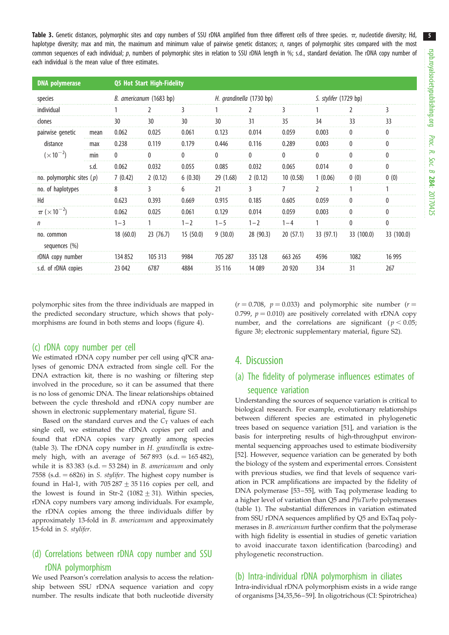<span id="page-6-0"></span>Table 3. Genetic distances, polymorphic sites and copy numbers of SSU rDNA amplified from three different cells of three species.  $\pi$ , nucleotide diversity; Hd, haplotype diversity; max and min, the maximum and minimum value of pairwise genetic distances; n, ranges of polymorphic sites compared with the most common sequences of each individual;  $p$ , numbers of polymorphic sites in relation to SSU rDNA length in %; s.d., standard deviation. The rDNA copy number of each individual is the mean value of three estimates.

| <b>DNA</b> polymerase                              |      | <b>Q5 Hot Start High-Fidelity</b> |           |          |                          |           |          |                       |            |            |  |
|----------------------------------------------------|------|-----------------------------------|-----------|----------|--------------------------|-----------|----------|-----------------------|------------|------------|--|
| species                                            |      | B. americanum (1683 bp)           |           |          | H. grandinella (1730 bp) |           |          | S. stylifer (1729 bp) |            |            |  |
| individual                                         |      |                                   |           | 3        |                          | 2         | 3        |                       | 7          | 3          |  |
| clones                                             |      | 30                                | 30        | 30       | 30                       | 31        | 35       | 34                    | 33         | 33         |  |
| pairwise genetic<br>distance<br>$(\times 10^{-2})$ | mean | 0.062                             | 0.025     | 0.061    | 0.123                    | 0.014     | 0.059    | 0.003                 | U          |            |  |
|                                                    | max  | 0.238                             | 0.119     | 0.179    | 0.446                    | 0.116     | 0.289    | 0.003                 |            |            |  |
|                                                    | min  | 0                                 | 0         | 0        | 0                        | 0         | 0        | $\bf{0}$              | 0          |            |  |
|                                                    | s.d. | 0.062                             | 0.032     | 0.055    | 0.085                    | 0.032     | 0.065    | 0.014                 | 0          | 0          |  |
| no. polymorphic sites $(p)$                        |      | 7(0.42)                           | 2(0.12)   | 6(0.30)  | 29 (1.68)                | 2(0.12)   | 10(0.58) | 1(0.06)               | 0(0)       | 0(0)       |  |
| no. of haplotypes                                  |      | 8                                 | 3         | 6        | 21                       | 3         |          | J.                    |            |            |  |
| Hd                                                 |      | 0.623                             | 0.393     | 0.669    | 0.915                    | 0.185     | 0.605    | 0.059                 | 0          | N          |  |
| $\pi$ ( $\times$ 10 <sup>-2</sup> )                |      | 0.062                             | 0.025     | 0.061    | 0.129                    | 0.014     | 0.059    | 0.003                 | 0          | U          |  |
| n                                                  |      | $1 - 3$                           |           | $1 - 2$  | $1 - 5$                  | $1 - 2$   | $1 - 4$  |                       | U          |            |  |
| no. common<br>sequences $(\%)$                     |      | 18(60.0)                          | 23 (76.7) | 15(50.0) | 9(30.0)                  | 28 (90.3) | 20(57.1) | 33(97.1)              | 33 (100.0) | 33 (100.0) |  |
| rDNA copy number                                   |      | 134 852                           | 105 313   | 9984     | 705 287                  | 335 128   | 663 265  | 4596                  | 1082       | 16 995     |  |
| s.d. of rDNA copies                                |      | 23 042                            | 6787      | 4884     | 35 116                   | 14 089    | 20 9 20  | 334                   | 31         | 267        |  |

polymorphic sites from the three individuals are mapped in the predicted secondary structure, which shows that polymorphisms are found in both stems and loops ([figure 4](#page-8-0)).

#### (c) rDNA copy number per cell

We estimated rDNA copy number per cell using qPCR analyses of genomic DNA extracted from single cell. For the DNA extraction kit, there is no washing or filtering step involved in the procedure, so it can be assumed that there is no loss of genomic DNA. The linear relationships obtained between the cycle threshold and rDNA copy number are shown in electronic supplementary material, figure S1.

Based on the standard curves and the  $C_T$  values of each single cell, we estimated the rDNA copies per cell and found that rDNA copies vary greatly among species (table 3). The rDNA copy number in H. grandinella is extremely high, with an average of  $567 893$  (s.d.  $= 165 482$ ), while it is  $83\,383$  (s.d. = 53 284) in B. americanum and only 7558 (s.d.  $= 6826$ ) in S. stylifer. The highest copy number is found in Hal-1, with  $705\,287 + 35\,116$  copies per cell, and the lowest is found in Str-2  $(1082 + 31)$ . Within species, rDNA copy numbers vary among individuals. For example, the rDNA copies among the three individuals differ by approximately 13-fold in B. americanum and approximately 15-fold in S. stylifer.

## (d) Correlations between rDNA copy number and SSU rDNA polymorphism

We used Pearson's correlation analysis to access the relationship between SSU rDNA sequence variation and copy number. The results indicate that both nucleotide diversity  $(r = 0.708, p = 0.033)$  and polymorphic site number  $(r = 1.708, p = 0.033)$ 0.799,  $p = 0.010$ ) are positively correlated with rDNA copy number, and the correlations are significant ( $p < 0.05$ ; [figure 3](#page-7-0)b; electronic supplementary material, figure S2).

## 4. Discussion

## (a) The fidelity of polymerase influences estimates of sequence variation

Understanding the sources of sequence variation is critical to biological research. For example, evolutionary relationships between different species are estimated in phylogenetic trees based on sequence variation [\[51](#page-11-0)], and variation is the basis for interpreting results of high-throughput environmental sequencing approaches used to estimate biodiversity [[52\]](#page-11-0). However, sequence variation can be generated by both the biology of the system and experimental errors. Consistent with previous studies, we find that levels of sequence variation in PCR amplifications are impacted by the fidelity of DNA polymerase [\[53](#page-11-0) –[55](#page-11-0)], with Taq polymerase leading to a higher level of variation than Q5 and PfuTurbo polymerases ([table 1](#page-5-0)). The substantial differences in variation estimated from SSU rDNA sequences amplified by Q5 and ExTaq polymerases in B. americanum further confirm that the polymerase with high fidelity is essential in studies of genetic variation to avoid inaccurate taxon identification (barcoding) and phylogenetic reconstruction.

#### (b) Intra-individual rDNA polymorphism in ciliates

Intra-individual rDNA polymorphism exists in a wide range of organisms [[34,35,](#page-10-0)[56](#page-11-0)–[59](#page-11-0)]. In oligotrichous (CI: Spirotrichea)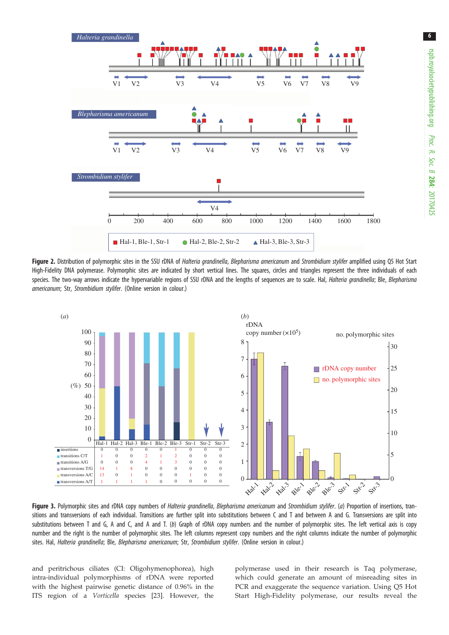<span id="page-7-0"></span>

Figure 2. Distribution of polymorphic sites in the SSU rDNA of Halteria grandinella, Blepharisma americanum and Strombidium stylifer amplified using Q5 Hot Start High-Fidelity DNA polymerase. Polymorphic sites are indicated by short vertical lines. The squares, circles and triangles represent the three individuals of each species. The two-way arrows indicate the hypervariable regions of SSU rDNA and the lengths of sequences are to scale. Hal, Halteria grandinella; Ble, Blepharisma americanum; Str, Strombidium stylifer. (Online version in colour.)



Figure 3. Polymorphic sites and rDNA copy numbers of Halteria grandinella, Blepharisma americanum and Strombidium stylifer. (a) Proportion of insertions, transitions and transversions of each individual. Transitions are further split into substitutions between C and T and between A and G. Transversions are split into substitutions between T and G, A and C, and A and T. (b) Graph of rDNA copy numbers and the number of polymorphic sites. The left vertical axis is copy number and the right is the number of polymorphic sites. The left columns represent copy numbers and the right columns indicate the number of polymorphic sites. Hal, Halteria grandinella; Ble, Blepharisma americanum; Str, Strombidium stylifer. (Online version in colour.)

and peritrichous ciliates (CI: Oligohymenophorea), high intra-individual polymorphisms of rDNA were reported with the highest pairwise genetic distance of 0.96% in the ITS region of a Vorticella species [[23\]](#page-10-0). However, the polymerase used in their research is Taq polymerase, which could generate an amount of misreading sites in PCR and exaggerate the sequence variation. Using Q5 Hot Start High-Fidelity polymerase, our results reveal the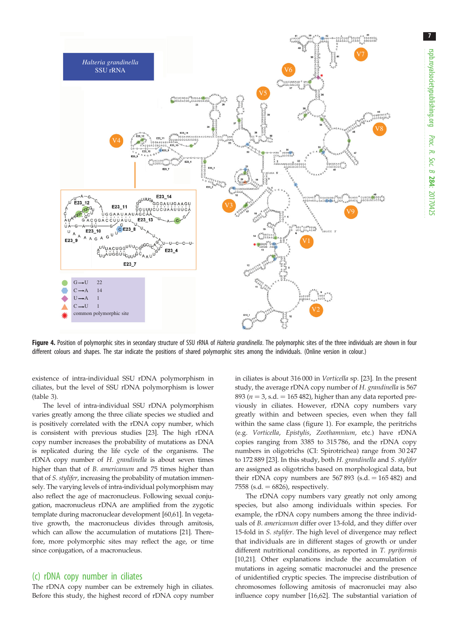<span id="page-8-0"></span>

Figure 4. Position of polymorphic sites in secondary structure of SSU rRNA of *Halteria grandinella*. The polymorphic sites of the three individuals are shown in four different colours and shapes. The star indicate the positions of shared polymorphic sites among the individuals. (Online version in colour.)

existence of intra-individual SSU rDNA polymorphism in ciliates, but the level of SSU rDNA polymorphism is lower [\(table 3](#page-6-0)).

The level of intra-individual SSU rDNA polymorphism varies greatly among the three ciliate species we studied and is positively correlated with the rDNA copy number, which is consistent with previous studies [\[23](#page-10-0)]. The high rDNA copy number increases the probability of mutations as DNA is replicated during the life cycle of the organisms. The rDNA copy number of H. grandinella is about seven times higher than that of *B. americanum* and 75 times higher than that of S. stylifer, increasing the probability of mutation immensely. The varying levels of intra-individual polymorphism may also reflect the age of macronucleus. Following sexual conjugation, macronucleus rDNA are amplified from the zygotic template during macronuclear development [\[60,61\]](#page-11-0). In vegetative growth, the macronucleus divides through amitosis, which can allow the accumulation of mutations [\[21\]](#page-10-0). Therefore, more polymorphic sites may reflect the age, or time since conjugation, of a macronucleus.

#### (c) rDNA copy number in ciliates

The rDNA copy number can be extremely high in ciliates. Before this study, the highest record of rDNA copy number in ciliates is about 316 000 in Vorticella sp. [[23\]](#page-10-0). In the present study, the average rDNA copy number of H. grandinella is 567 893 ( $n = 3$ , s.d. = 165 482), higher than any data reported previously in ciliates. However, rDNA copy numbers vary greatly within and between species, even when they fall within the same class ([figure 1\)](#page-4-0). For example, the peritrichs (e.g. Vorticella, Epistylis, Zoothamnium, etc.) have rDNA copies ranging from 3385 to 315 786, and the rDNA copy numbers in oligotrichs (CI: Spirotrichea) range from 30 247 to 172 889 [[23\]](#page-10-0). In this study, both H. grandinella and S. stylifer are assigned as oligotrichs based on morphological data, but their rDNA copy numbers are  $567 893$  (s.d.  $= 165 482$ ) and 7558 (s.d.  $= 6826$ ), respectively.

The rDNA copy numbers vary greatly not only among species, but also among individuals within species. For example, the rDNA copy numbers among the three individuals of B. americanum differ over 13-fold, and they differ over 15-fold in S. stylifer. The high level of divergence may reflect that individuals are in different stages of growth or under different nutritional conditions, as reported in T. pyriformis [[10,21\]](#page-10-0). Other explanations include the accumulation of mutations in ageing somatic macronuclei and the presence of unidentified cryptic species. The imprecise distribution of chromosomes following amitosis of macronuclei may also influence copy number [[16](#page-10-0)[,62](#page-11-0)]. The substantial variation of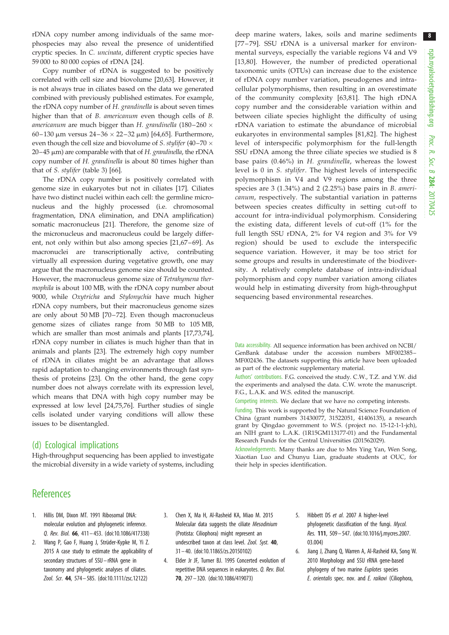<span id="page-9-0"></span>rDNA copy number among individuals of the same morphospecies may also reveal the presence of unidentified cryptic species. In C. uncinata, different cryptic species have 59 000 to 80 000 copies of rDNA [[24\]](#page-10-0).

Copy number of rDNA is suggested to be positively correlated with cell size and biovolume [[20,](#page-10-0)[63\]](#page-11-0). However, it is not always true in ciliates based on the data we generated combined with previously published estimates. For example, the rDNA copy number of H. grandinella is about seven times higher than that of B. americanum even though cells of B. *americanum* are much bigger than H. g*randinella* (180–260  $\times$ 60–130 μm versus 24–36  $\times$  22–32 μm) [\[64](#page-11-0),[65\]](#page-11-0). Furthermore, even though the cell size and biovolume of *S. stylifer* (40–70  $\times$  $20-45$  µm) are comparable with that of H. grandinella, the rDNA copy number of H. grandinella is about 80 times higher than that of S. stylifer ([table 3](#page-6-0)) [[66](#page-11-0)].

The rDNA copy number is positively correlated with genome size in eukaryotes but not in ciliates [\[17](#page-10-0)]. Ciliates have two distinct nuclei within each cell: the germline micronucleus and the highly processed (i.e. chromosomal fragmentation, DNA elimination, and DNA amplification) somatic macronucleus [[21\]](#page-10-0). Therefore, the genome size of the micronucleus and macronucleus could be largely different, not only within but also among species [[21,](#page-10-0)[67](#page-11-0)–[69](#page-11-0)]. As macronuclei are transcriptionally active, contributing virtually all expression during vegetative growth, one may argue that the macronucleus genome size should be counted. However, the macronucleus genome size of Tetrahymena thermophila is about 100 MB, with the rDNA copy number about 9000, while Oxytricha and Stylonychia have much higher rDNA copy numbers, but their macronucleus genome sizes are only about 50 MB [[70](#page-11-0)–[72](#page-11-0)]. Even though macronucleus genome sizes of ciliates range from 50 MB to 105 MB, which are smaller than most animals and plants [[17,](#page-10-0)[73,74](#page-11-0)], rDNA copy number in ciliates is much higher than that in animals and plants [[23\]](#page-10-0). The extremely high copy number of rDNA in ciliates might be an advantage that allows rapid adaptation to changing environments through fast synthesis of proteins [[23\]](#page-10-0). On the other hand, the gene copy number does not always correlate with its expression level, which means that DNA with high copy number may be expressed at low level [[24,](#page-10-0)[75,76](#page-11-0)]. Further studies of single cells isolated under varying conditions will allow these issues to be disentangled.

#### (d) Ecological implications

High-throughput sequencing has been applied to investigate the microbial diversity in a wide variety of systems, including deep marine waters, lakes, soils and marine sediments [[77](#page-11-0) – [79](#page-11-0)]. SSU rDNA is a universal marker for environmental surveys, especially the variable regions V4 and V9 [[13](#page-10-0),[80](#page-11-0)]. However, the number of predicted operational taxonomic units (OTUs) can increase due to the existence of rDNA copy number variation, pseudogenes and intracellular polymorphisms, then resulting in an overestimate of the community complexity [\[63,81\]](#page-11-0). The high rDNA copy number and the considerable variation within and between ciliate species highlight the difficulty of using rDNA variation to estimate the abundance of microbial eukaryotes in environmental samples [\[81,82](#page-11-0)]. The highest level of interspecific polymorphism for the full-length SSU rDNA among the three ciliate species we studied is 8 base pairs (0.46%) in H. grandinella, whereas the lowest level is 0 in S. stylifer. The highest levels of interspecific polymorphism in V4 and V9 regions among the three species are 3 (1.34%) and 2 (2.25%) base pairs in B. americanum, respectively. The substantial variation in patterns between species creates difficulty in setting cut-off to account for intra-individual polymorphism. Considering the existing data, different levels of cut-off (1% for the full length SSU rDNA, 2% for V4 region and 3% for V9 region) should be used to exclude the interspecific sequence variation. However, it may be too strict for some groups and results in underestimate of the biodiversity. A relatively complete database of intra-individual polymorphism and copy number variation among ciliates would help in estimating diversity from high-throughput sequencing based environmental researches.

Data accessibility. All sequence information has been archived on NCBI/ GenBank database under the accession numbers MF002385– MF002436. The datasets supporting this article have been uploaded as part of the electronic supplementary material.

Authors' contributions. F.G. conceived the study. C.W., T.Z. and Y.W. did the experiments and analysed the data. C.W. wrote the manuscript. F.G., L.A.K. and W.S. edited the manuscript.

Competing interests. We declare that we have no competing interests.

Funding. This work is supported by the Natural Science Foundation of China (grant numbers 31430077, 31522051, 41406135), a research grant by Qingdao government to W.S. (project no. 15-12-1-1-jch), an NIH grant to L.A.K. (1R15GM113177-01) and the Fundamental Research Funds for the Central Universities (201562029).

Acknowledgements. Many thanks are due to Mrs Ying Yan, Wen Song, Xiaotian Luo and Chunyu Lian, graduate students at OUC, for their help in species identification.

## **References**

- 1. Hillis DM, Dixon MT. 1991 Ribosomal DNA: molecular evolution and phylogenetic inference. Q. Rev. Biol. 66, 411– 453. [\(doi:10.1086/417338](http://dx.doi.org/10.1086/417338))
- 2. Wang P, Gao F, Huang J, Strüder-Kypke M, Yi Z. 2015 A case study to estimate the applicability of secondary structures of SSU –rRNA gene in taxonomy and phylogenetic analyses of ciliates. Zool. Scr. 44, 574– 585. [\(doi:10.1111/zsc.12122](http://dx.doi.org/10.1111/zsc.12122))
- 3. Chen X, Ma H, Al-Rasheid KA, Miao M. 2015 Molecular data suggests the ciliate Mesodinium (Protista: Ciliophora) might represent an undescribed taxon at class level. Zool. Syst. 40. 31 – 40. ([doi:10.11865/zs.20150102\)](http://dx.doi.org/10.11865/zs.20150102)
- 4. Elder Jr JF, Turner BJ. 1995 Concerted evolution of repetitive DNA sequences in eukaryotes. Q. Rev. Biol. 70, 297– 320. ([doi:10.1086/419073](http://dx.doi.org/10.1086/419073))
- 5. Hibbett DS et al. 2007 A higher-level phylogenetic classification of the fungi. Mycol. Res. 111, 509 – 547. ([doi:10.1016/j.mycres.2007.](http://dx.doi.org/10.1016/j.mycres.2007.03.004) [03.004](http://dx.doi.org/10.1016/j.mycres.2007.03.004))
- 6. Jiang J, Zhang Q, Warren A, Al-Rasheid KA, Song W. 2010 Morphology and SSU rRNA gene-based phylogeny of two marine Euplotes species E. orientalis spec. nov. and E. raikovi (Ciliophora,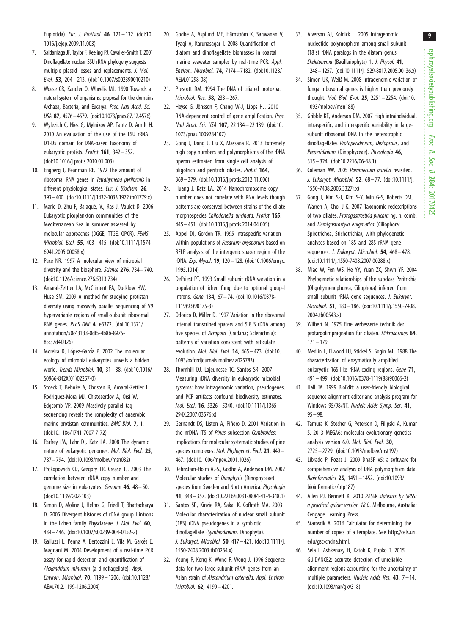rspb.royalsocietypublishing.org Proc. R. Soc. $\sigma$ 284: 20170425

9

<span id="page-10-0"></span>Euplotida). Eur. J. Protistol. 46, 121– 132. ([doi:10.](http://dx.doi.org/10.1016/j.ejop.2009.11.003) [1016/j.ejop.2009.11.003\)](http://dx.doi.org/10.1016/j.ejop.2009.11.003)

- 7. Saldarriaga JF, Taylor F, Keeling PJ, Cavalier-Smith T. 2001 Dinoflagellate nuclear SSU rRNA phylogeny suggests multiple plastid losses and replacements. J. Mol. Evol. 53, 204 – 213. [\(doi:10.1007/s002390010210\)](http://dx.doi.org/10.1007/s002390010210)
- 8. Woese CR, Kandler O, Wheelis ML. 1990 Towards a natural system of organisms: proposal for the domains Archaea, Bacteria, and Eucarya. Proc. Natl Acad. Sci. USA 87, 4576–4579. [\(doi:10.1073/pnas.87.12.4576\)](http://dx.doi.org/10.1073/pnas.87.12.4576)
- 9. Wylezich C, Nies G, Mylnikov AP, Tautz D, Arndt H. 2010 An evaluation of the use of the LSU rRNA D1-D5 domain for DNA-based taxonomy of eukaryotic protists. Protist 161, 342– 352. [\(doi:10.1016/j.protis.2010.01.003\)](http://dx.doi.org/10.1016/j.protis.2010.01.003)
- 10. Engberg J, Pearlman RE. 1972 The amount of ribosomal RNA genes in Tetrahymena pyriformis in different physiological states. Eur. J. Biochem. 26, 393–400. ([doi:10.1111/j.1432-1033.1972.tb01779.x\)](http://dx.doi.org/10.1111/j.1432-1033.1972.tb01779.x)
- 11. Marie D, Zhu F, Balagué, V., Ras J, Vaulot D. 2006 Eukaryotic picoplankton communities of the Mediterranean Sea in summer assessed by molecular approaches (DGGE, TTGE, QPCR). FEMS Microbiol. Ecol. 55, 403– 415. [\(doi:10.1111/j.1574-](http://dx.doi.org/10.1111/j.1574-6941.2005.00058.x) [6941.2005.00058.x](http://dx.doi.org/10.1111/j.1574-6941.2005.00058.x))
- 12. Pace NR. 1997 A molecular view of microbial diversity and the biosphere. Science 276, 734–740. [\(doi:10.1126/science.276.5313.734](http://dx.doi.org/10.1126/science.276.5313.734))
- 13. Amaral-Zettler LA, McCliment EA, Ducklow HW, Huse SM. 2009 A method for studying protistan diversity using massively parallel sequencing of V9 hypervariable regions of small-subunit ribosomal RNA genes. PLoS ONE 4, e6372. [\(doi:10.1371/](http://dx.doi.org/10.1371/annotation/50c43133-0df5-4b8b-8975-8cc37d4f2f26) [annotation/50c43133-0df5-4b8b-8975-](http://dx.doi.org/10.1371/annotation/50c43133-0df5-4b8b-8975-8cc37d4f2f26) [8cc37d4f2f26](http://dx.doi.org/10.1371/annotation/50c43133-0df5-4b8b-8975-8cc37d4f2f26))
- 14. Moreira D, López-García P. 2002 The molecular ecology of microbial eukaryotes unveils a hidden world. Trends Microbiol. 10, 31 – 38. ([doi:10.1016/](http://dx.doi.org/10.1016/S0966-842X(01)02257-0) [S0966-842X\(01\)02257-0\)](http://dx.doi.org/10.1016/S0966-842X(01)02257-0)
- 15. Stoeck T, Behnke A, Christen R, Amaral-Zettler L, Rodriguez-Mora MJ, Chistoserdov A, Orsi W, Edgcomb VP. 2009 Massively parallel tag sequencing reveals the complexity of anaerobic marine protistan communities. BMC Biol. 7, 1. [\(doi:10.1186/1741-7007-7-72](http://dx.doi.org/10.1186/1741-7007-7-72))
- 16. Parfrey LW, Lahr DJ, Katz LA. 2008 The dynamic nature of eukaryotic genomes. Mol. Biol. Evol. 25, 787– 794. ([doi:10.1093/molbev/msn032\)](http://dx.doi.org/10.1093/molbev/msn032)
- 17. Prokopowich CD, Gregory TR, Crease TJ. 2003 The correlation between rDNA copy number and genome size in eukaryotes. Genome 46, 48 – 50. [\(doi:10.1139/G02-103](http://dx.doi.org/10.1139/G02-103))
- 18. Simon D, Moline J, Helms G, Friedl T, Bhattacharya D. 2005 Divergent histories of rDNA group I introns in the lichen family Physciaceae. J. Mol. Evol. 60, 434– 446. ([doi:10.1007/s00239-004-0152-2\)](http://dx.doi.org/10.1007/s00239-004-0152-2)
- 19. Galluzzi L, Penna A, Bertozzini E, Vila M, Garcés E, Magnani M. 2004 Development of a real-time PCR assay for rapid detection and quantification of Alexandrium minutum (a dinoflagellate). Appl. Environ. Microbiol. 70, 1199– 1206. [\(doi:10.1128/](http://dx.doi.org/10.1128/AEM.70.2.1199-1206.2004) [AEM.70.2.1199-1206.2004](http://dx.doi.org/10.1128/AEM.70.2.1199-1206.2004))
- 20. Godhe A, Asplund ME, Härnström K, Saravanan V, Tyagi A, Karunasagar I. 2008 Quantification of diatom and dinoflagellate biomasses in coastal marine seawater samples by real-time PCR. Appl. Environ. Microbiol. 74, 7174 – 7182. [\(doi:10.1128/](http://dx.doi.org/10.1128/AEM.01298-08) [AEM.01298-08\)](http://dx.doi.org/10.1128/AEM.01298-08)
- 21. Prescott DM. 1994 The DNA of ciliated protozoa. Microbiol. Rev. 58, 233– 267.
- 22. Heyse G, Jönsson F, Chang W-J, Lipps HJ. 2010 RNA-dependent control of gene amplification. Proc. Natl Acad. Sci. USA 107, 22 134– 22 139. ([doi:10.](http://dx.doi.org/10.1073/pnas.1009284107) [1073/pnas.1009284107](http://dx.doi.org/10.1073/pnas.1009284107))
- 23. Gong J, Dong J, Liu X, Massana R. 2013 Extremely high copy numbers and polymorphisms of the rDNA operon estimated from single cell analysis of oligotrich and peritrich ciliates. Protist 164, 369 – 379. [\(doi:10.1016/j.protis.2012.11.006\)](http://dx.doi.org/10.1016/j.protis.2012.11.006)
- 24. Huang J, Katz LA. 2014 Nanochromosome copy number does not correlate with RNA levels though patterns are conserved between strains of the ciliate morphospecies Chilodonella uncinata. Protist 165, 445 – 451. [\(doi:10.1016/j.protis.2014.04.005\)](http://dx.doi.org/10.1016/j.protis.2014.04.005)
- 25. Appel DJ, Gordon TR. 1995 Intraspecific variation within populations of Fusarium oxysporum based on RFLP analysis of the intergenic spacer region of the rDNA. Exp. Mycol. 19, 120– 128. [\(doi:10.1006/emyc.](http://dx.doi.org/10.1006/emyc.1995.1014) [1995.1014\)](http://dx.doi.org/10.1006/emyc.1995.1014)
- 26. DePriest PT. 1993 Small subunit rDNA variation in a population of lichen fungi due to optional group-I introns. Gene 134, 67– 74. [\(doi:10.1016/0378-](http://dx.doi.org/10.1016/0378-1119(93)90175-3) [1119\(93\)90175-3](http://dx.doi.org/10.1016/0378-1119(93)90175-3))
- 27. Odorico D, Miller D. 1997 Variation in the ribosomal internal transcribed spacers and 5.8 S rDNA among five species of Acropora (Cnidaria; Scleractinia): patterns of variation consistent with reticulate evolution. Mol. Biol. Evol. 14, 465– 473. ([doi:10.](http://dx.doi.org/10.1093/oxfordjournals.molbev.a025783) [1093/oxfordjournals.molbev.a025783](http://dx.doi.org/10.1093/oxfordjournals.molbev.a025783))
- 28. Thornhill DJ, Lajeunesse TC, Santos SR. 2007 Measuring rDNA diversity in eukaryotic microbial systems: how intragenomic variation, pseudogenes, and PCR artifacts confound biodiversity estimates. Mol. Ecol. 16, 5326– 5340. [\(doi:10.1111/j.1365-](http://dx.doi.org/10.1111/j.1365-294X.2007.03576.x) [294X.2007.03576.x\)](http://dx.doi.org/10.1111/j.1365-294X.2007.03576.x)
- 29. Gernandt DS, Liston A, Piñero D. 2001 Variation in the nrDNA ITS of Pinus subsection Cembroides: implications for molecular systematic studies of pine species complexes. Mol. Phylogenet. Evol. 21, 449-467. ([doi:10.1006/mpev.2001.1026](http://dx.doi.org/10.1006/mpev.2001.1026))
- 30. Rehnstam-Holm A.-S., Godhe A, Anderson DM. 2002 Molecular studies of Dinophysis (Dinophyceae) species from Sweden and North America. Phycologia 41, 348 – 357. ([doi:10.2216/i0031-8884-41-4-348.1\)](http://dx.doi.org/10.2216/i0031-8884-41-4-348.1)
- 31. Santos SR, Kinzie RA, Sakai K, Coffroth MA. 2003 Molecular characterization of nuclear small subunit (18S) rDNA pseudogenes in a symbiotic dinoflagellate (Symbiodinium, Dinophyta). J. Eukaryot. Microbiol. 50, 417– 421. [\(doi:10.1111/j.](http://dx.doi.org/10.1111/j.1550-7408.2003.tb00264.x) [1550-7408.2003.tb00264.x\)](http://dx.doi.org/10.1111/j.1550-7408.2003.tb00264.x)
- 32. Yeung P, Kong K, Wong F, Wong J. 1996 Sequence data for two large-subunit rRNA genes from an Asian strain of Alexandrium catenella. Appl. Environ. Microbiol. 62, 4199– 4201.
- 33. Alverson AJ, Kolnick L. 2005 Intragenomic nucleotide polymorphism among small subunit (18 s) rDNA paralogs in the diatom genus Skeletonema (Bacillariophyta) 1. J. Phycol. 41, 1248–1257. [\(doi:10.1111/j.1529-8817.2005.00136.x](http://dx.doi.org/10.1111/j.1529-8817.2005.00136.x))
- 34. Simon UK, Weiß M. 2008 Intragenomic variation of fungal ribosomal genes is higher than previously thought. Mol. Biol. Evol. 25, 2251– 2254. ([doi:10.](http://dx.doi.org/10.1093/molbev/msn188) [1093/molbev/msn188](http://dx.doi.org/10.1093/molbev/msn188))
- 35. Gribble KE, Anderson DM. 2007 High intraindividual, intraspecific, and interspecific variability in largesubunit ribosomal DNA in the heterotrophic dinoflagellates Protoperidinium, Diplopsalis, and Preperidinium (Dinophyceae). Phycologia 46, 315– 324. [\(doi:10.2216/06-68.1\)](http://dx.doi.org/10.2216/06-68.1)
- 36. Coleman AW. 2005 Paramecium aurelia revisited. J. Eukaryot. Microbiol. 52, 68 – 77. ([doi:10.1111/j.](http://dx.doi.org/10.1111/j.1550-7408.2005.3327r.x) [1550-7408.2005.3327r.x](http://dx.doi.org/10.1111/j.1550-7408.2005.3327r.x))
- 37. Gong J, Kim S-J, Kim S-Y, Min G-S, Roberts DM, Warren A, Choi J-K. 2007 Taxonomic redescriptions of two ciliates, Protogastrostyla pulchra ng, n. comb. and Hemigastrostyla enigmatica (Ciliophora: Spirotrichea, Stichotrichia), with phylogenetic analyses based on 18S and 28S rRNA gene sequences. J. Eukaryot. Microbiol. 54, 468-478. ([doi:10.1111/j.1550-7408.2007.00288.x\)](http://dx.doi.org/10.1111/j.1550-7408.2007.00288.x)
- 38. Miao W, Fen WS, He YY, Yuan ZX, Shwn YF. 2004 Phylogenetic relationships of the subclass Peritrichia (Oligohymenophorea, Ciliophora) inferred from small subunit rRNA gene sequences. J. Eukaryot. Microbiol. 51, 180– 186. ([doi:10.1111/j.1550-7408.](http://dx.doi.org/10.1111/j.1550-7408.2004.tb00543.x) [2004.tb00543.x](http://dx.doi.org/10.1111/j.1550-7408.2004.tb00543.x))
- 39. Wilbert N. 1975 Eine verbesserte technik der protargolimprägnation für ciliaten. Mikrokosmos 64, 171– 179.
- 40. Medlin L, Elwood HJ, Stickel S, Sogin ML. 1988 The characterization of enzymatically amplified eukaryotic 16S-like rRNA-coding regions. Gene 71, 491– 499. [\(doi:10.1016/0378-1119\(88\)90066-2](http://dx.doi.org/10.1016/0378-1119(88)90066-2))
- 41. Hall TA. 1999 BioEdit: a user-friendly biological sequence alignment editor and analysis program for Windows 95/98/NT. Nucleic Acids Symp. Ser. 41, 95– 98.
- 42. Tamura K, Stecher G, Peterson D, Filipski A, Kumar S. 2013 MEGA6: molecular evolutionary genetics analysis version 6.0. Mol. Biol. Evol. 30, 2725– 2729. ([doi:10.1093/molbev/mst197\)](http://dx.doi.org/10.1093/molbev/mst197)
- 43. Librado P, Rozas J. 2009 DnaSP v5: a software for comprehensive analysis of DNA polymorphism data. Bioinformatics 25, 1451 – 1452. [\(doi:10.1093/](http://dx.doi.org/10.1093/bioinformatics/btp187) [bioinformatics/btp187](http://dx.doi.org/10.1093/bioinformatics/btp187))
- 44. Allen PJ, Bennett K, 2010 PASW statistics by SPSS: a practical guide: version 18.0. Melbourne, Australia: Cengage Learning Press.
- 45. Staroscik A. 2016 Calculator for determining the number of copies of a template. See [http://cels.uri.](http://cels.uri.edu/gsc/cndna.html) [edu/gsc/cndna.html.](http://cels.uri.edu/gsc/cndna.html)
- 46. Sela I, Ashkenazy H, Katoh K, Pupko T. 2015 GUIDANCE2: accurate detection of unreliable alignment regions accounting for the uncertainty of multiple parameters. Nucleic Acids Res.  $43$ ,  $7 - 14$ . ([doi:10.1093/nar/gkv318\)](http://dx.doi.org/10.1093/nar/gkv318)